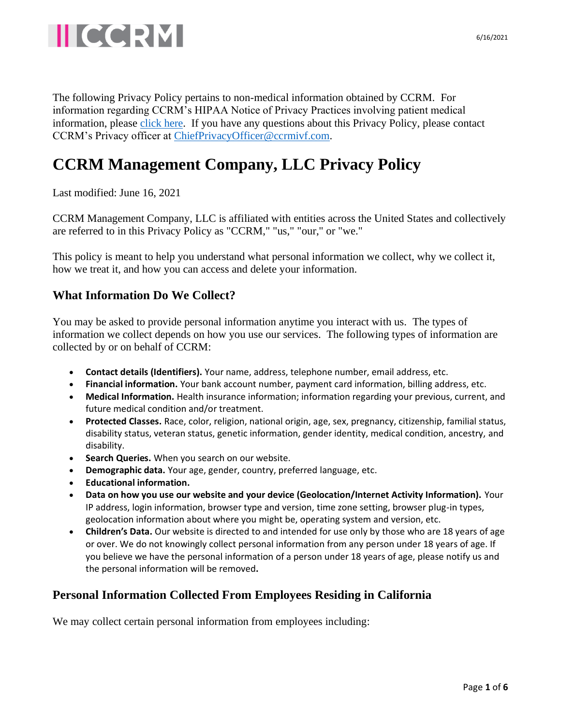

The following Privacy Policy pertains to non-medical information obtained by CCRM. For information regarding CCRM's HIPAA Notice of Privacy Practices involving patient medical information, please [click here.](https://www.ccrmivf.com/notice-of-privacy-practices/) If you have any questions about this Privacy Policy, please contact CCRM's Privacy officer at [ChiefPrivacyOfficer@ccrmivf.com.](mailto:ChiefPrivacyOfficer@ccrmivf.com)

## **CCRM Management Company, LLC Privacy Policy**

Last modified: June 16, 2021

CCRM Management Company, LLC is affiliated with entities across the United States and collectively are referred to in this Privacy Policy as "CCRM," "us," "our," or "we."

This policy is meant to help you understand what personal information we collect, why we collect it, how we treat it, and how you can access and delete your information.

## **What Information Do We Collect?**

You may be asked to provide personal information anytime you interact with us. The types of information we collect depends on how you use our services. The following types of information are collected by or on behalf of CCRM:

- **Contact details (Identifiers).** Your name, address, telephone number, email address, etc.
- **Financial information.** Your bank account number, payment card information, billing address, etc.
- **Medical Information.** Health insurance information; information regarding your previous, current, and future medical condition and/or treatment.
- **Protected Classes.** Race, color, religion, national origin, age, sex, pregnancy, citizenship, familial status, disability status, veteran status, genetic information, gender identity, medical condition, ancestry, and disability.
- **Search Queries.** When you search on our website.
- **Demographic data.** Your age, gender, country, preferred language, etc.
- **Educational information.**
- **Data on how you use our website and your device (Geolocation/Internet Activity Information).** Your IP address, login information, browser type and version, time zone setting, browser plug-in types, geolocation information about where you might be, operating system and version, etc.
- **Children's Data.** Our website is directed to and intended for use only by those who are 18 years of age or over. We do not knowingly collect personal information from any person under 18 years of age. If you believe we have the personal information of a person under 18 years of age, please notify us and the personal information will be removed**.**

## **Personal Information Collected From Employees Residing in California**

We may collect certain personal information from employees including: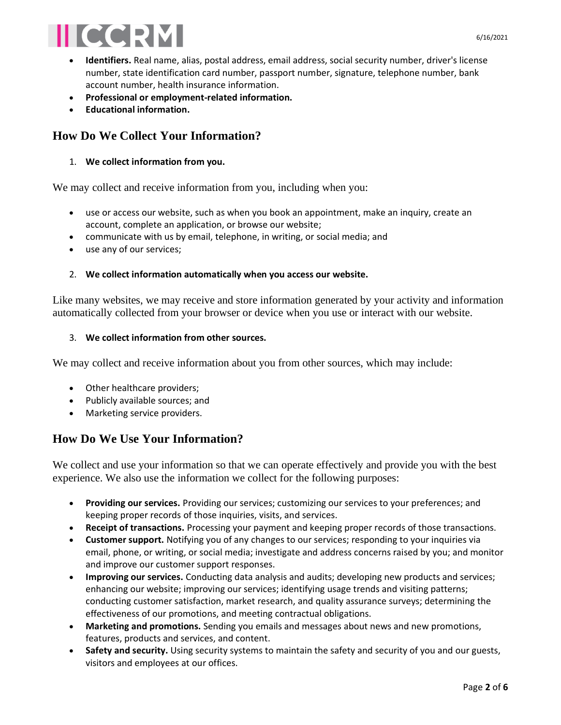# **IIICCRM**

- **Identifiers.** Real name, alias, postal address, email address, social security number, driver's license number, state identification card number, passport number, signature, telephone number, bank account number, health insurance information.
- **Professional or employment-related information.**
- **Educational information.**

## **How Do We Collect Your Information?**

#### 1. **We collect information from you.**

We may collect and receive information from you, including when you:

- use or access our website, such as when you book an appointment, make an inquiry, create an account, complete an application, or browse our website;
- communicate with us by email, telephone, in writing, or social media; and
- use any of our services;

#### 2. **We collect information automatically when you access our website.**

Like many websites, we may receive and store information generated by your activity and information automatically collected from your browser or device when you use or interact with our website.

#### 3. **We collect information from other sources.**

We may collect and receive information about you from other sources, which may include:

- Other healthcare providers;
- Publicly available sources; and
- Marketing service providers.

## **How Do We Use Your Information?**

We collect and use your information so that we can operate effectively and provide you with the best experience. We also use the information we collect for the following purposes:

- **Providing our services.** Providing our services; customizing our services to your preferences; and keeping proper records of those inquiries, visits, and services.
- **Receipt of transactions.** Processing your payment and keeping proper records of those transactions.
- **Customer support.** Notifying you of any changes to our services; responding to your inquiries via email, phone, or writing, or social media; investigate and address concerns raised by you; and monitor and improve our customer support responses.
- **Improving our services.** Conducting data analysis and audits; developing new products and services; enhancing our website; improving our services; identifying usage trends and visiting patterns; conducting customer satisfaction, market research, and quality assurance surveys; determining the effectiveness of our promotions, and meeting contractual obligations.
- **Marketing and promotions.** Sending you emails and messages about news and new promotions, features, products and services, and content.
- **Safety and security.** Using security systems to maintain the safety and security of you and our guests, visitors and employees at our offices.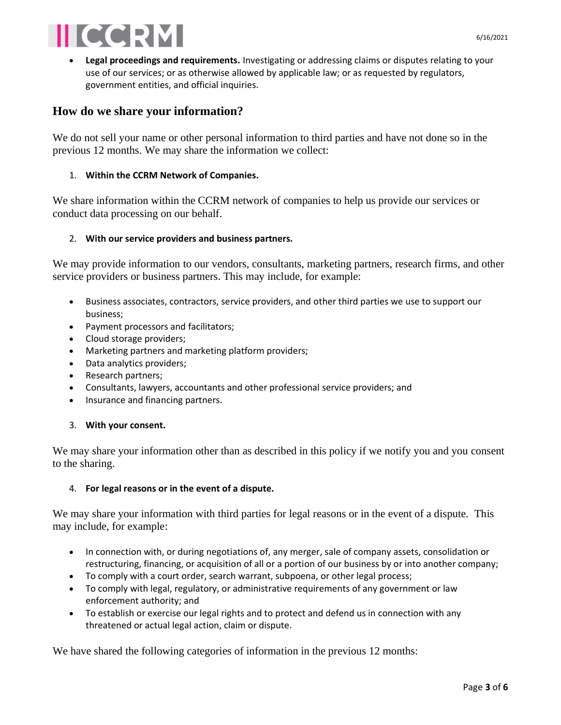

• **Legal proceedings and requirements.** Investigating or addressing claims or disputes relating to your use of our services; or as otherwise allowed by applicable law; or as requested by regulators, government entities, and official inquiries.

## **How do we share your information?**

We do not sell your name or other personal information to third parties and have not done so in the previous 12 months. We may share the information we collect:

#### 1. **Within the CCRM Network of Companies.**

We share information within the CCRM network of companies to help us provide our services or conduct data processing on our behalf.

#### 2. **With our service providers and business partners.**

We may provide information to our vendors, consultants, marketing partners, research firms, and other service providers or business partners. This may include, for example:

- Business associates, contractors, service providers, and other third parties we use to support our business;
- Payment processors and facilitators;
- Cloud storage providers;
- Marketing partners and marketing platform providers;
- Data analytics providers;
- Research partners;
- Consultants, lawyers, accountants and other professional service providers; and
- Insurance and financing partners.

#### 3. **With your consent.**

We may share your information other than as described in this policy if we notify you and you consent to the sharing.

#### 4. **For legal reasons or in the event of a dispute.**

We may share your information with third parties for legal reasons or in the event of a dispute. This may include, for example:

- In connection with, or during negotiations of, any merger, sale of company assets, consolidation or restructuring, financing, or acquisition of all or a portion of our business by or into another company;
- To comply with a court order, search warrant, subpoena, or other legal process;
- To comply with legal, regulatory, or administrative requirements of any government or law enforcement authority; and
- To establish or exercise our legal rights and to protect and defend us in connection with any threatened or actual legal action, claim or dispute.

We have shared the following categories of information in the previous 12 months: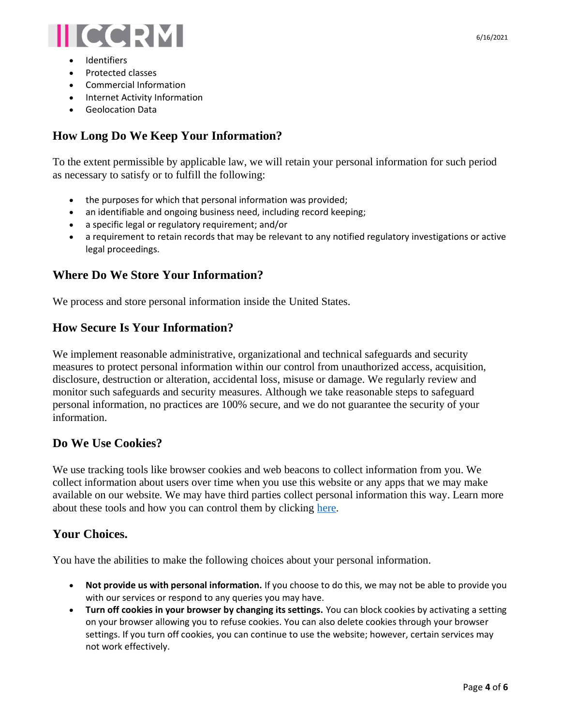

- **Identifiers**
- Protected classes
- Commercial Information
- Internet Activity Information
- Geolocation Data

## **How Long Do We Keep Your Information?**

To the extent permissible by applicable law, we will retain your personal information for such period as necessary to satisfy or to fulfill the following:

- the purposes for which that personal information was provided;
- an identifiable and ongoing business need, including record keeping;
- a specific legal or regulatory requirement; and/or
- a requirement to retain records that may be relevant to any notified regulatory investigations or active legal proceedings.

## **Where Do We Store Your Information?**

We process and store personal information inside the United States.

## **How Secure Is Your Information?**

We implement reasonable administrative, organizational and technical safeguards and security measures to protect personal information within our control from unauthorized access, acquisition, disclosure, destruction or alteration, accidental loss, misuse or damage. We regularly review and monitor such safeguards and security measures. Although we take reasonable steps to safeguard personal information, no practices are 100% secure, and we do not guarantee the security of your information.

## **Do We Use Cookies?**

We use tracking tools like browser cookies and web beacons to collect information from you. We collect information about users over time when you use this website or any apps that we may make available on our website. We may have third parties collect personal information this way. Learn more about these tools and how you can control them by clicking [here.](https://www.allaboutcookies.org/)

## **Your Choices.**

You have the abilities to make the following choices about your personal information.

- **Not provide us with personal information.** If you choose to do this, we may not be able to provide you with our services or respond to any queries you may have.
- **Turn off cookies in your browser by changing its settings.** You can block cookies by activating a setting on your browser allowing you to refuse cookies. You can also delete cookies through your browser settings. If you turn off cookies, you can continue to use the website; however, certain services may not work effectively.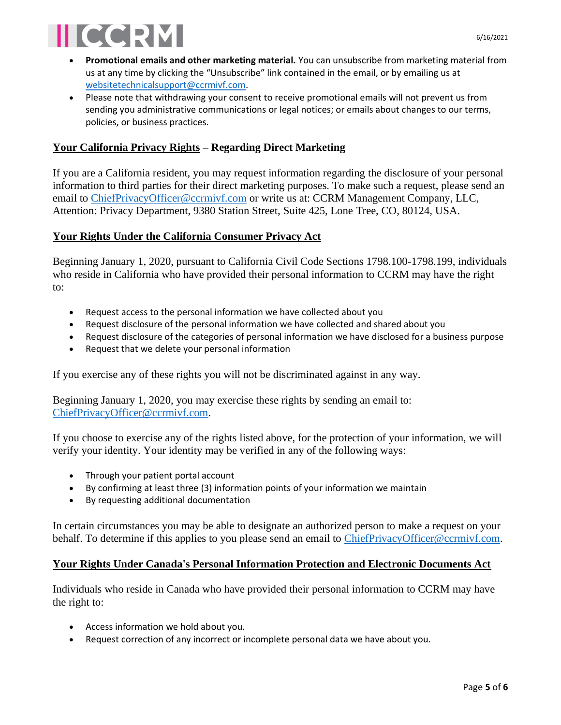

- **Promotional emails and other marketing material.** You can unsubscribe from marketing material from us at any time by clicking the "Unsubscribe" link contained in the email, or by emailing us at [websitetechnicalsupport@ccrmivf.com.](mailto:websitetechnicalsupport@ccrmivf.com)
- Please note that withdrawing your consent to receive promotional emails will not prevent us from sending you administrative communications or legal notices; or emails about changes to our terms, policies, or business practices.

#### **Your California Privacy Rights – Regarding Direct Marketing**

If you are a California resident, you may request information regarding the disclosure of your personal information to third parties for their direct marketing purposes. To make such a request, please send an email to [ChiefPrivacyOfficer@ccrmivf.com](mailto:ChiefPrivacyOfficer@ccrmivf.com) or write us at: CCRM Management Company, LLC, Attention: Privacy Department, 9380 Station Street, Suite 425, Lone Tree, CO, 80124, USA.

#### **Your Rights Under the California Consumer Privacy Act**

Beginning January 1, 2020, pursuant to California Civil Code Sections 1798.100-1798.199, individuals who reside in California who have provided their personal information to CCRM may have the right to:

- Request access to the personal information we have collected about you
- Request disclosure of the personal information we have collected and shared about you
- Request disclosure of the categories of personal information we have disclosed for a business purpose
- Request that we delete your personal information

If you exercise any of these rights you will not be discriminated against in any way.

Beginning January 1, 2020, you may exercise these rights by sending an email to: [ChiefPrivacyOfficer@ccrmivf.com.](mailto:ChiefPrivacyOfficer@ccrmivf.com)

If you choose to exercise any of the rights listed above, for the protection of your information, we will verify your identity. Your identity may be verified in any of the following ways:

- Through your patient portal account
- By confirming at least three (3) information points of your information we maintain
- By requesting additional documentation

In certain circumstances you may be able to designate an authorized person to make a request on your behalf. To determine if this applies to you please send an email to [ChiefPrivacyOfficer@ccrmivf.com.](mailto:ChiefPrivacyOfficer@ccrmivf.com)

#### **Your Rights Under Canada's Personal Information Protection and Electronic Documents Act**

Individuals who reside in Canada who have provided their personal information to CCRM may have the right to:

- Access information we hold about you.
- Request correction of any incorrect or incomplete personal data we have about you.